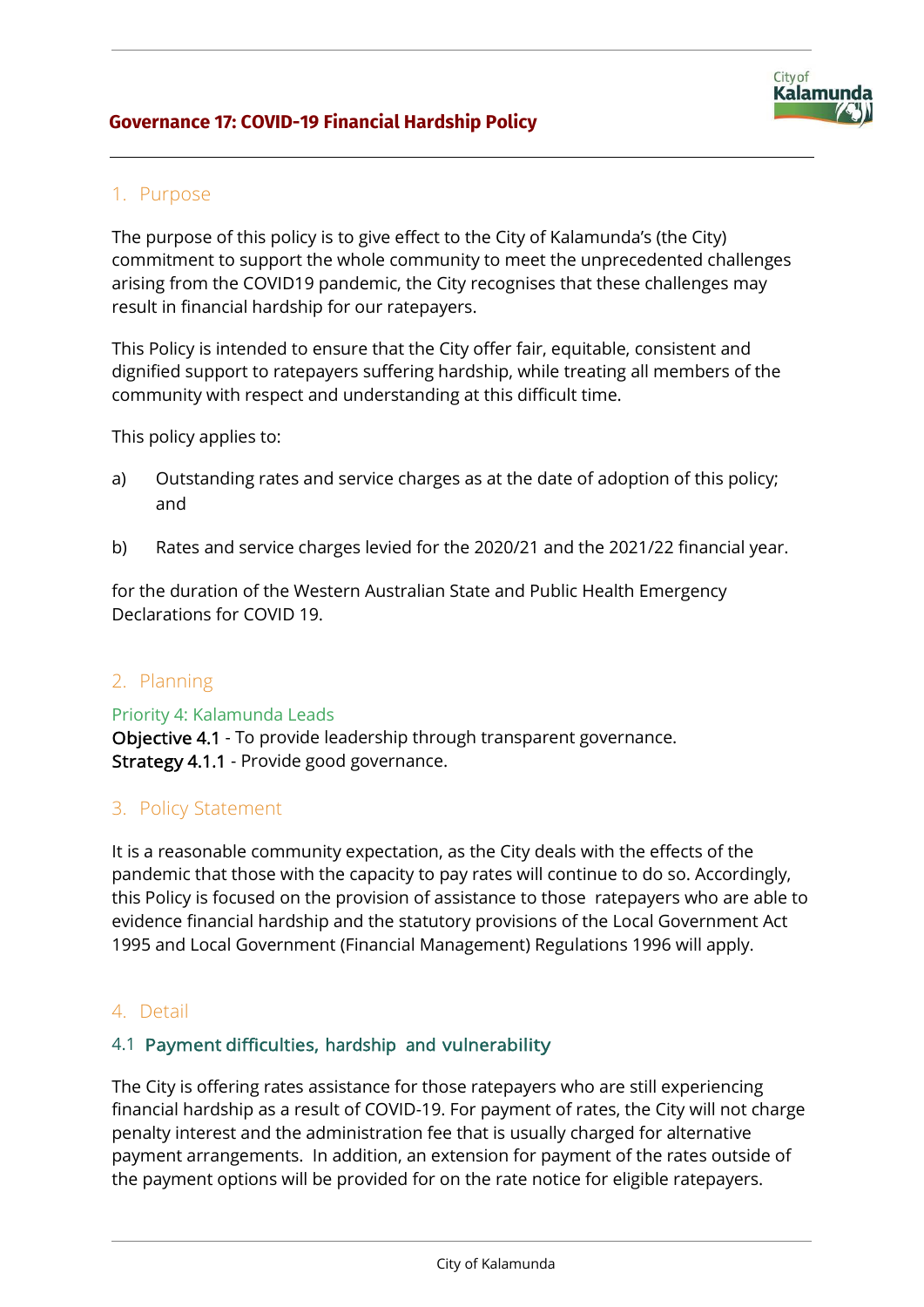

# 1. Purpose

The purpose of this policy is to give effect to the City of Kalamunda's (the City) commitment to support the whole community to meet the unprecedented challenges arising from the COVID19 pandemic, the City recognises that these challenges may result in financial hardship for our ratepayers.

This Policy is intended to ensure that the City offer fair, equitable, consistent and dignified support to ratepayers suffering hardship, while treating all members of the community with respect and understanding at this difficult time.

This policy applies to:

- a) Outstanding rates and service charges as at the date of adoption of this policy; and
- b) Rates and service charges levied for the 2020/21 and the 2021/22 financial year.

for the duration of the Western Australian State and Public Health Emergency Declarations for COVID 19.

# 2. Planning

Priority 4: Kalamunda Leads Objective 4.1 - To provide leadership through transparent governance. Strategy 4.1.1 - Provide good governance.

# 3. Policy Statement

It is a reasonable community expectation, as the City deals with the effects of the pandemic that those with the capacity to pay rates will continue to do so. Accordingly, this Policy is focused on the provision of assistance to those ratepayers who are able to evidence financial hardship and the statutory provisions of the Local Government Act 1995 and Local Government (Financial Management) Regulations 1996 will apply.

# 4. Detail

### 4.1 Payment difficulties, hardship and vulnerability

The City is offering rates assistance for those ratepayers who are still experiencing financial hardship as a result of COVID-19. For payment of rates, the City will not charge penalty interest and the administration fee that is usually charged for alternative payment arrangements. In addition, an extension for payment of the rates outside of the payment options will be provided for on the rate notice for eligible ratepayers.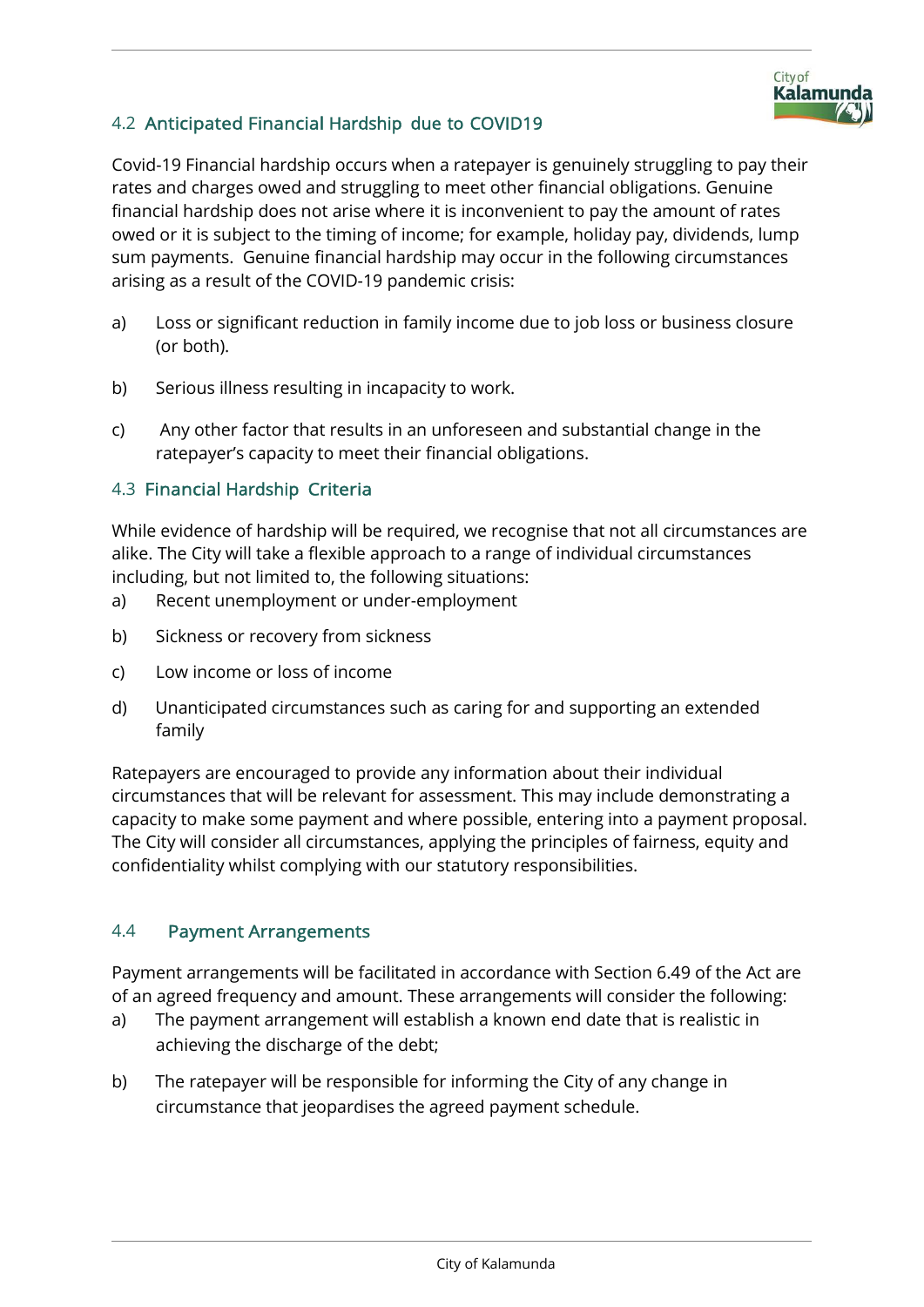

# 4.2 Anticipated Financial Hardship due to COVID19

Covid-19 Financial hardship occurs when a ratepayer is genuinely struggling to pay their rates and charges owed and struggling to meet other financial obligations. Genuine financial hardship does not arise where it is inconvenient to pay the amount of rates owed or it is subject to the timing of income; for example, holiday pay, dividends, lump sum payments. Genuine financial hardship may occur in the following circumstances arising as a result of the COVID-19 pandemic crisis:

- a) Loss or significant reduction in family income due to job loss or business closure (or both).
- b) Serious illness resulting in incapacity to work.
- c) Any other factor that results in an unforeseen and substantial change in the ratepayer's capacity to meet their financial obligations.

## 4.3 Financial Hardship Criteria

While evidence of hardship will be required, we recognise that not all circumstances are alike. The City will take a flexible approach to a range of individual circumstances including, but not limited to, the following situations:

- a) Recent unemployment or under-employment
- b) Sickness or recovery from sickness
- c) Low income or loss of income
- d) Unanticipated circumstances such as caring for and supporting an extended family

Ratepayers are encouraged to provide any information about their individual circumstances that will be relevant for assessment. This may include demonstrating a capacity to make some payment and where possible, entering into a payment proposal. The City will consider all circumstances, applying the principles of fairness, equity and confidentiality whilst complying with our statutory responsibilities.

### 4.4 Payment Arrangements

Payment arrangements will be facilitated in accordance with Section 6.49 of the Act are of an agreed frequency and amount. These arrangements will consider the following:

- a) The payment arrangement will establish a known end date that is realistic in achieving the discharge of the debt;
- b) The ratepayer will be responsible for informing the City of any change in circumstance that jeopardises the agreed payment schedule.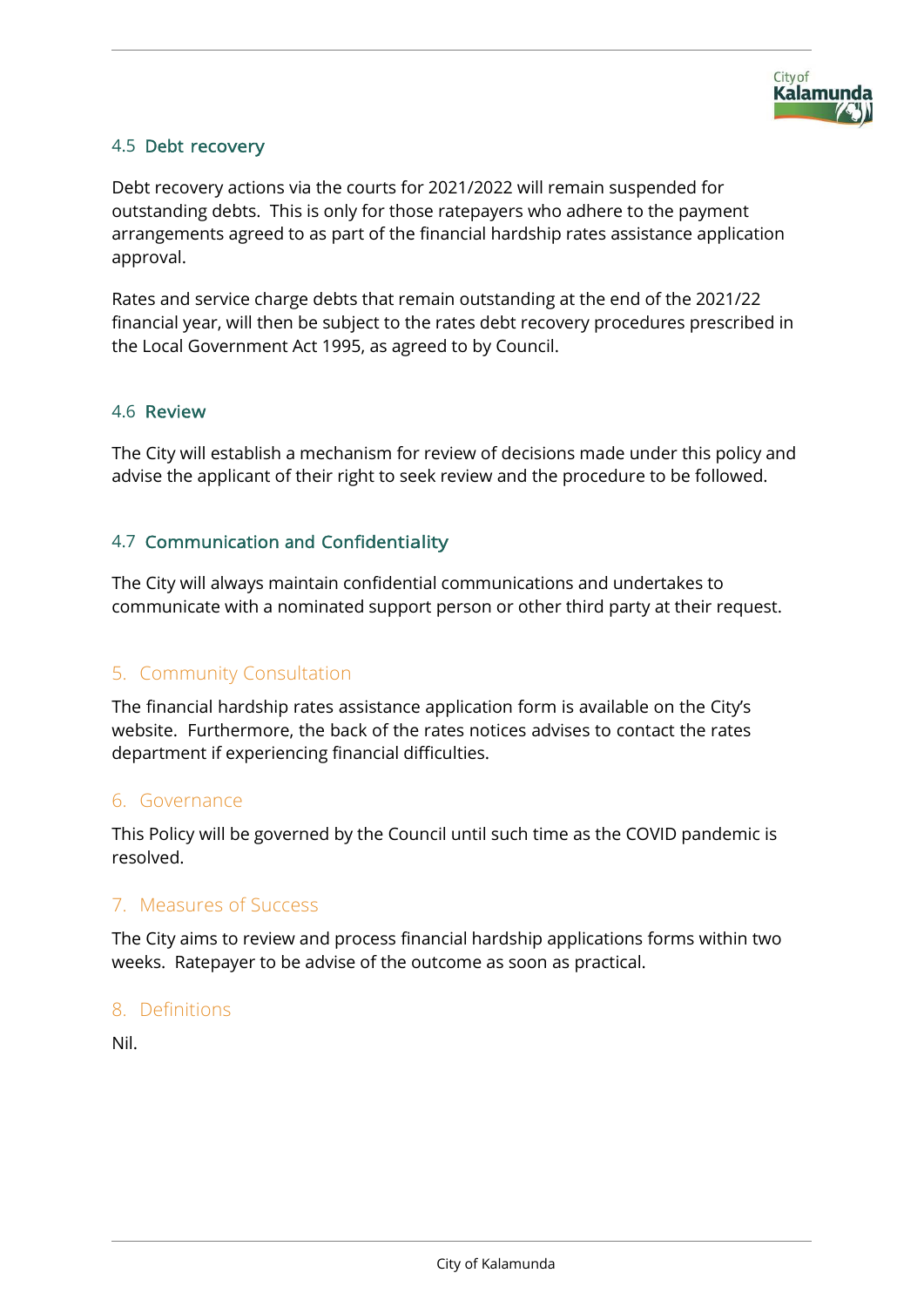### 4.5 Debt recovery

Debt recovery actions via the courts for 2021/2022 will remain suspended for outstanding debts. This is only for those ratepayers who adhere to the payment arrangements agreed to as part of the financial hardship rates assistance application approval.

Rates and service charge debts that remain outstanding at the end of the 2021/22 financial year, will then be subject to the rates debt recovery procedures prescribed in the Local Government Act 1995, as agreed to by Council.

### 4.6 Review

The City will establish a mechanism for review of decisions made under this policy and advise the applicant of their right to seek review and the procedure to be followed.

## 4.7 Communication and Confidentiality

The City will always maintain confidential communications and undertakes to communicate with a nominated support person or other third party at their request.

# 5. Community Consultation

The financial hardship rates assistance application form is available on the City's website. Furthermore, the back of the rates notices advises to contact the rates department if experiencing financial difficulties.

# 6. Governance

This Policy will be governed by the Council until such time as the COVID pandemic is resolved.

# 7. Measures of Success

The City aims to review and process financial hardship applications forms within two weeks. Ratepayer to be advise of the outcome as soon as practical.

### 8. Definitions

Nil.